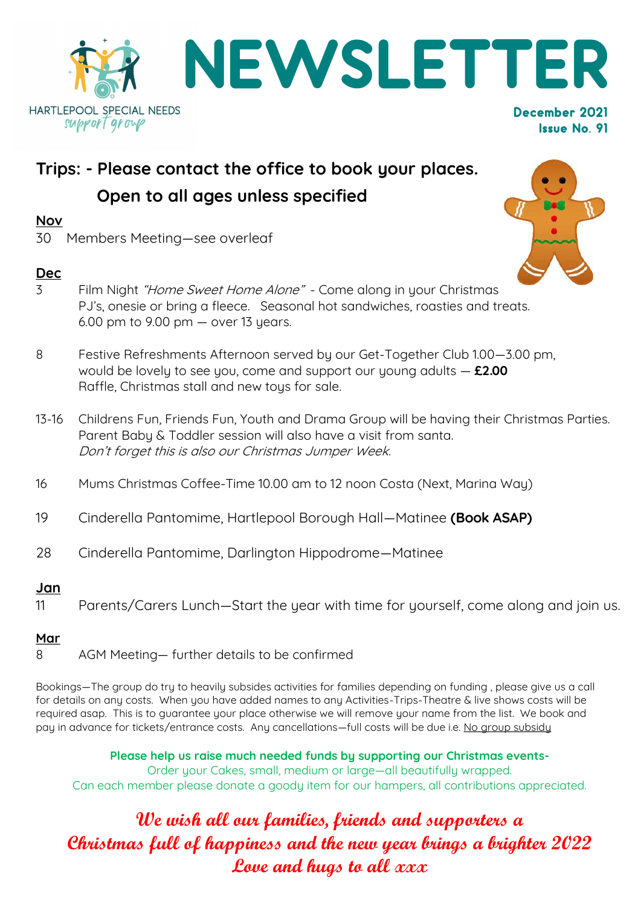

# **Trips: - Please contact the office to book your places. Open to all ages unless specified**

### **Nov**

30 Members Meeting—see overleaf

# **Dec**

- 3 Film Night "Home Sweet Home Alone" Come along in your Christmas PJ's, onesie or bring a fleece. Seasonal hot sandwiches, roasties and treats.  $6.00$  pm to  $9.00$  pm  $-$  over 13 years.
- 8 Festive Refreshments Afternoon served by our Get-Together Club 1.00—3.00 pm, would be lovely to see you, come and support our young adults — **£2.00** Raffle, Christmas stall and new toys for sale.
- 13-16 Childrens Fun, Friends Fun, Youth and Drama Group will be having their Christmas Parties. Parent Baby & Toddler session will also have a visit from santa. Don't forget this is also our Christmas Jumper Week.
- 16 Mums Christmas Coffee-Time 10.00 am to 12 noon Costa (Next, Marina Way)
- 19 Cinderella Pantomime, Hartlepool Borough Hall—Matinee **(Book ASAP)**
- 28 Cinderella Pantomime, Darlington Hippodrome—Matinee

# **Jan**

11 Parents/Carers Lunch—Start the year with time for yourself, come along and join us.

# **Mar**

8 AGM Meeting— further details to be confirmed

Bookings—The group do try to heavily subsides activities for families depending on funding , please give us a call for details on any costs. When you have added names to any Activities-Trips-Theatre & live shows costs will be required asap. This is to guarantee your place otherwise we will remove your name from the list. We book and pay in advance for tickets/entrance costs. Any cancellations—full costs will be due i.e. No group subsidy

**Please help us raise much needed funds by supporting our Christmas events-**Order your Cakes, small, medium or large—all beautifully wrapped. Can each member please donate a goody item for our hampers, all contributions appreciated.

# **We wish all our families, friends and supporters a Christmas full of happiness and the new year brings a brighter 2022 Love and hugs to all xxx**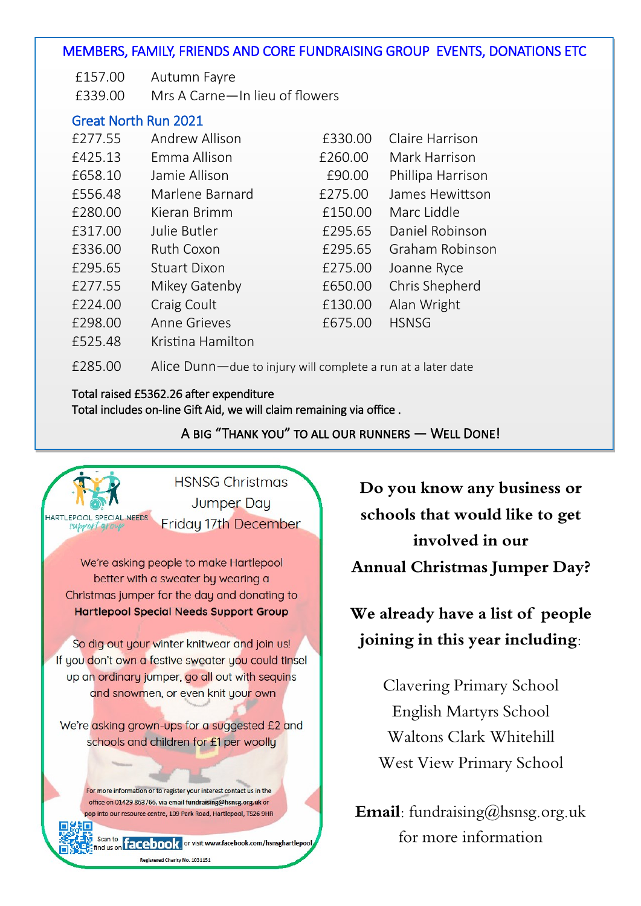### MEMBERS, FAMILY, FRIENDS AND CORE FUNDRAISING GROUP EVENTS, DONATIONS ETC

- £157.00 Autumn Fayre
- £339.00 Mrs A Carne—In lieu of flowers

### Great North Run 2021

| £277.55 | Andrew Allison      | £330.00 | Claire Harrison   |
|---------|---------------------|---------|-------------------|
| £425.13 | Emma Allison        | £260.00 | Mark Harrison     |
| £658.10 | Jamie Allison       | £90.00  | Phillipa Harrison |
| £556.48 | Marlene Barnard     | £275.00 | James Hewittson   |
| £280.00 | Kieran Brimm        | £150.00 | Marc Liddle       |
| £317.00 | Julie Butler        | £295.65 | Daniel Robinson   |
| £336.00 | Ruth Coxon          | £295.65 | Graham Robinson   |
| £295.65 | <b>Stuart Dixon</b> | £275.00 | Joanne Ryce       |
| £277.55 | Mikey Gatenby       | £650.00 | Chris Shepherd    |
| £224.00 | Craig Coult         | £130.00 | Alan Wright       |
| £298.00 | <b>Anne Grieves</b> | £675.00 | <b>HSNSG</b>      |
| £525.48 | Kristina Hamilton   |         |                   |

£285.00 Alice Dunn—due to injury will complete a run at a later date

### Total raised £5362.26 after expenditure Total includes on-line Gift Aid, we will claim remaining via office .

A big "Thank you" to all our runners — Well Done!



**Do you know any business or schools that would like to get involved in our Annual Christmas Jumper Day?**

# **We already have a list of people joining in this year including:**

Clavering Primary School English Martyrs School Waltons Clark Whitehill West View Primary School

**Email:** fundraising@hsnsg.org.uk for more information

Registered Charity No. 1031151